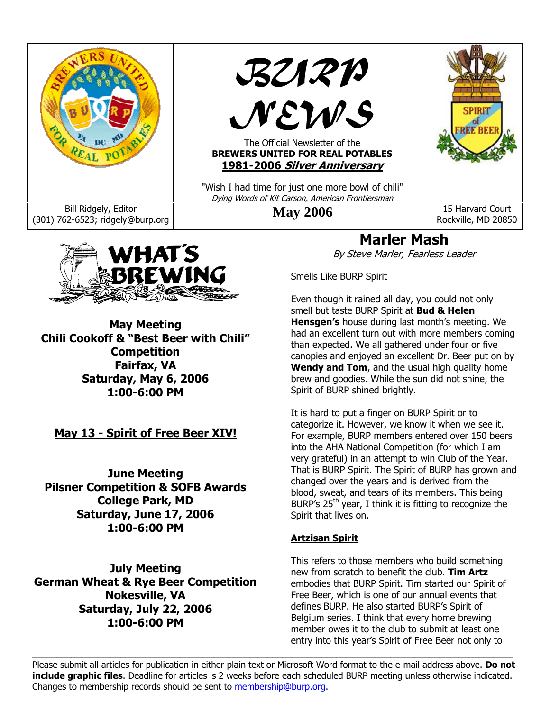



**May Meeting Chili Cookoff & "Best Beer with Chili" Competition Fairfax, VA Saturday, May 6, 2006 1:00-6:00 PM** 

**May 13 - Spirit of Free Beer XIV!**

**June Meeting Pilsner Competition & SOFB Awards College Park, MD Saturday, June 17, 2006 1:00-6:00 PM** 

**July Meeting German Wheat & Rye Beer Competition Nokesville, VA Saturday, July 22, 2006 1:00-6:00 PM** 

**Marler Mash** 

By Steve Marler, Fearless Leader

Smells Like BURP Spirit

Even though it rained all day, you could not only smell but taste BURP Spirit at **Bud & Helen Hensgen's** house during last month's meeting. We had an excellent turn out with more members coming than expected. We all gathered under four or five canopies and enjoyed an excellent Dr. Beer put on by **Wendy and Tom**, and the usual high quality home brew and goodies. While the sun did not shine, the Spirit of BURP shined brightly.

It is hard to put a finger on BURP Spirit or to categorize it. However, we know it when we see it. For example, BURP members entered over 150 beers into the AHA National Competition (for which I am very grateful) in an attempt to win Club of the Year. That is BURP Spirit. The Spirit of BURP has grown and changed over the years and is derived from the blood, sweat, and tears of its members. This being BURP's  $25<sup>th</sup>$  year, I think it is fitting to recognize the Spirit that lives on.

#### **Artzisan Spirit**

This refers to those members who build something new from scratch to benefit the club. **Tim Artz** embodies that BURP Spirit. Tim started our Spirit of Free Beer, which is one of our annual events that defines BURP. He also started BURP's Spirit of Belgium series. I think that every home brewing member owes it to the club to submit at least one entry into this year's Spirit of Free Beer not only to

Please submit all articles for publication in either plain text or Microsoft Word format to the e-mail address above. **Do not include graphic files**. Deadline for articles is 2 weeks before each scheduled BURP meeting unless otherwise indicated. Changes to membership records should be sent to membership@burp.org.

 $\_$  , and the state of the state of the state of the state of the state of the state of the state of the state of the state of the state of the state of the state of the state of the state of the state of the state of the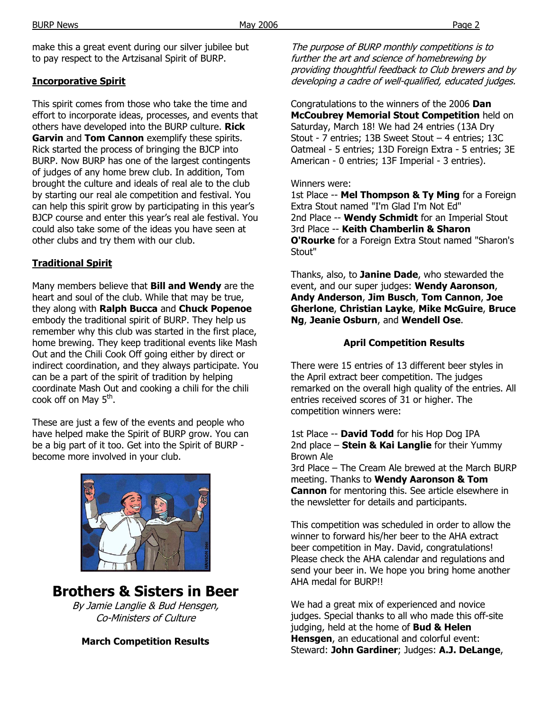make this a great event during our silver jubilee but to pay respect to the Artzisanal Spirit of BURP.

#### **Incorporative Spirit**

This spirit comes from those who take the time and effort to incorporate ideas, processes, and events that others have developed into the BURP culture. **Rick Garvin** and **Tom Cannon** exemplify these spirits. Rick started the process of bringing the BJCP into BURP. Now BURP has one of the largest contingents of judges of any home brew club. In addition, Tom brought the culture and ideals of real ale to the club by starting our real ale competition and festival. You can help this spirit grow by participating in this year's BJCP course and enter this year's real ale festival. You could also take some of the ideas you have seen at other clubs and try them with our club.

#### **Traditional Spirit**

Many members believe that **Bill and Wendy** are the heart and soul of the club. While that may be true, they along with **Ralph Bucca** and **Chuck Popenoe**  embody the traditional spirit of BURP. They help us remember why this club was started in the first place, home brewing. They keep traditional events like Mash Out and the Chili Cook Off going either by direct or indirect coordination, and they always participate. You can be a part of the spirit of tradition by helping coordinate Mash Out and cooking a chili for the chili cook off on May  $5<sup>th</sup>$ .

These are just a few of the events and people who have helped make the Spirit of BURP grow. You can be a big part of it too. Get into the Spirit of BURP become more involved in your club.



**March Competition Results** 

The purpose of BURP monthly competitions is to further the art and science of homebrewing by providing thoughtful feedback to Club brewers and by developing a cadre of well-qualified, educated judges.

Congratulations to the winners of the 2006 **Dan McCoubrey Memorial Stout Competition** held on Saturday, March 18! We had 24 entries (13A Dry Stout - 7 entries; 13B Sweet Stout – 4 entries; 13C Oatmeal - 5 entries; 13D Foreign Extra - 5 entries; 3E American - 0 entries; 13F Imperial - 3 entries).

#### Winners were:

1st Place -- **Mel Thompson & Ty Ming** for a Foreign Extra Stout named "I'm Glad I'm Not Ed" 2nd Place -- **Wendy Schmidt** for an Imperial Stout 3rd Place -- **Keith Chamberlin & Sharon O'Rourke** for a Foreign Extra Stout named "Sharon's Stout"

Thanks, also, to **Janine Dade**, who stewarded the event, and our super judges: **Wendy Aaronson**, **Andy Anderson**, **Jim Busch**, **Tom Cannon**, **Joe Gherlone**, **Christian Layke**, **Mike McGuire**, **Bruce Ng**, **Jeanie Osburn**, and **Wendell Ose**.

#### **April Competition Results**

There were 15 entries of 13 different beer styles in the April extract beer competition. The judges remarked on the overall high quality of the entries. All entries received scores of 31 or higher. The competition winners were:

1st Place -- **David Todd** for his Hop Dog IPA 2nd place – **Stein & Kai Langlie** for their Yummy Brown Ale

3rd Place – The Cream Ale brewed at the March BURP meeting. Thanks to **Wendy Aaronson & Tom Cannon** for mentoring this. See article elsewhere in the newsletter for details and participants.

This competition was scheduled in order to allow the winner to forward his/her beer to the AHA extract beer competition in May. David, congratulations! Please check the AHA calendar and regulations and send your beer in. We hope you bring home another AHA medal for BURP!!

We had a great mix of experienced and novice judges. Special thanks to all who made this off-site judging, held at the home of **Bud & Helen Hensgen**, an educational and colorful event: Steward: **John Gardiner**; Judges: **A.J. DeLange**,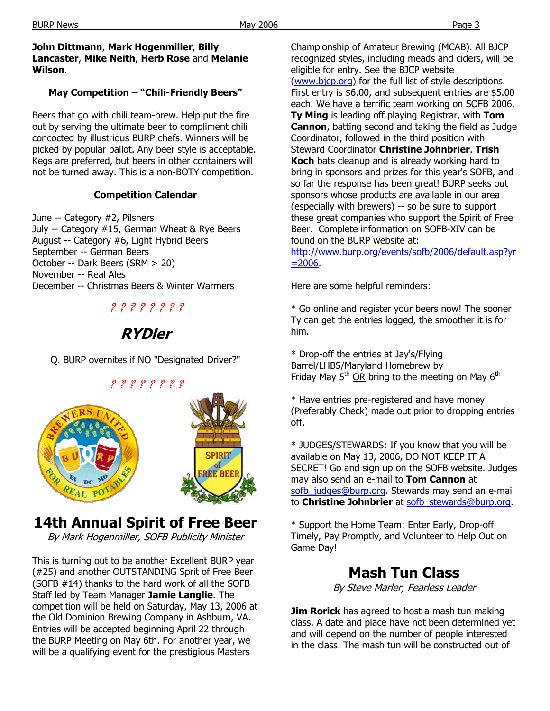#### **John Dittmann**, **Mark Hogenmiller**, **Billy Lancaster**, **Mike Neith**, **Herb Rose** and **Melanie Wilson**.

### **May Competition – "Chili-Friendly Beers"**

Beers that go with chili team-brew. Help put the fire out by serving the ultimate beer to compliment chili concocted by illustrious BURP chefs. Winners will be picked by popular ballot. Any beer style is acceptable. Kegs are preferred, but beers in other containers will not be turned away. This is a non-BOTY competition.

#### **Competition Calendar**

June -- Category #2, Pilsners July -- Category #15, German Wheat & Rye Beers August -- Category #6, Light Hybrid Beers September -- German Beers October -- Dark Beers (SRM > 20) November -- Real Ales December -- Christmas Beers & Winter Warmers

### ? ? ? ? ? ? ? ?

## **RYDler**

Q. BURP overnites if NO "Designated Driver?"



# **14th Annual Spirit of Free Beer**

By Mark Hogenmiller, SOFB Publicity Minister

This is turning out to be another Excellent BURP year (#25) and another OUTSTANDING Sprit of Free Beer (SOFB #14) thanks to the hard work of all the SOFB Staff led by Team Manager **Jamie Langlie**. The competition will be held on Saturday, May 13, 2006 at the Old Dominion Brewing Company in Ashburn, VA. Entries will be accepted beginning April 22 through the BURP Meeting on May 6th. For another year, we will be a qualifying event for the prestigious Masters

Championship of Amateur Brewing (MCAB). All BJCP recognized styles, including meads and ciders, will be eligible for entry. See the BJCP website (www.bjcp.org) for the full list of style descriptions. First entry is \$6.00, and subsequent entries are \$5.00 each. We have a terrific team working on SOFB 2006. **Ty Ming** is leading off playing Registrar, with **Tom Cannon**, batting second and taking the field as Judge Coordinator, followed in the third position with Steward Coordinator **Christine Johnbrier**. **Trish Koch** bats cleanup and is already working hard to bring in sponsors and prizes for this year's SOFB, and so far the response has been great! BURP seeks out sponsors whose products are available in our area (especially with brewers) -- so be sure to support these great companies who support the Spirit of Free Beer. Complete information on SOFB-XIV can be found on the BURP website at:

http://www.burp.org/events/sofb/2006/default.asp?yr  $=2006.$ 

Here are some helpful reminders:

\* Go online and register your beers now! The sooner Ty can get the entries logged, the smoother it is for him.

\* Drop-off the entries at Jay's/Flying Barrel/LHBS/Maryland Homebrew by Friday May  $5<sup>th</sup>$  OR bring to the meeting on May  $6<sup>th</sup>$ 

\* Have entries pre-registered and have money (Preferably Check) made out prior to dropping entries off.

\* JUDGES/STEWARDS: If you know that you will be available on May 13, 2006, DO NOT KEEP IT A SECRET! Go and sign up on the SOFB website. Judges may also send an e-mail to **Tom Cannon** at sofb judges@burp.org. Stewards may send an e-mail to **Christine Johnbrier** at sofb\_stewards@burp.org.

\* Support the Home Team: Enter Early, Drop-off Timely, Pay Promptly, and Volunteer to Help Out on Game Day!

### **Mash Tun Class**

By Steve Marler, Fearless Leader

**Jim Rorick** has agreed to host a mash tun making class. A date and place have not been determined yet and will depend on the number of people interested in the class. The mash tun will be constructed out of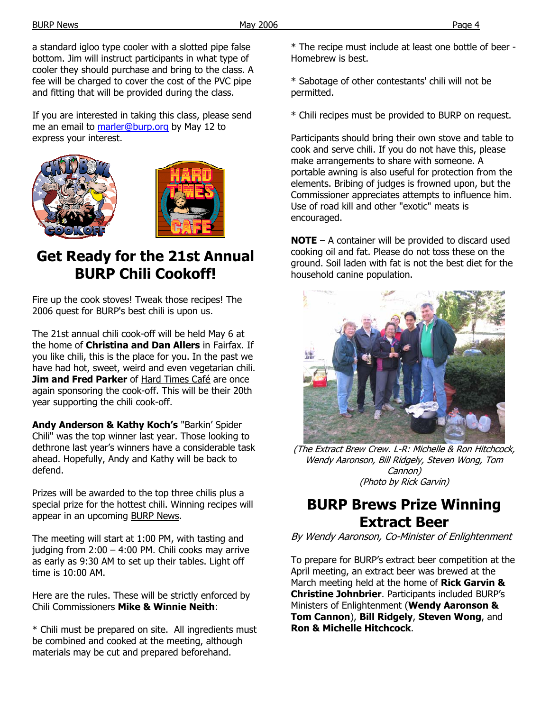a standard igloo type cooler with a slotted pipe false bottom. Jim will instruct participants in what type of cooler they should purchase and bring to the class. A fee will be charged to cover the cost of the PVC pipe and fitting that will be provided during the class.

If you are interested in taking this class, please send me an email to marler@burp.org by May 12 to express your interest.





# **Get Ready for the 21st Annual BURP Chili Cookoff!**

Fire up the cook stoves! Tweak those recipes! The 2006 quest for BURP's best chili is upon us.

The 21st annual chili cook-off will be held May 6 at the home of **Christina and Dan Allers** in Fairfax. If you like chili, this is the place for you. In the past we have had hot, sweet, weird and even vegetarian chili. **Jim and Fred Parker** of Hard Times Café are once again sponsoring the cook-off. This will be their 20th year supporting the chili cook-off.

**Andy Anderson & Kathy Koch's** "Barkin' Spider Chili" was the top winner last year. Those looking to dethrone last year's winners have a considerable task ahead. Hopefully, Andy and Kathy will be back to defend.

Prizes will be awarded to the top three chilis plus a special prize for the hottest chili. Winning recipes will appear in an upcoming BURP News.

The meeting will start at 1:00 PM, with tasting and judging from 2:00 – 4:00 PM. Chili cooks may arrive as early as 9:30 AM to set up their tables. Light off time is 10:00 AM.

Here are the rules. These will be strictly enforced by Chili Commissioners **Mike & Winnie Neith**:

\* Chili must be prepared on site. All ingredients must be combined and cooked at the meeting, although materials may be cut and prepared beforehand.

\* The recipe must include at least one bottle of beer - Homebrew is best.

\* Sabotage of other contestants' chili will not be permitted.

\* Chili recipes must be provided to BURP on request.

Participants should bring their own stove and table to cook and serve chili. If you do not have this, please make arrangements to share with someone. A portable awning is also useful for protection from the elements. Bribing of judges is frowned upon, but the Commissioner appreciates attempts to influence him. Use of road kill and other "exotic" meats is encouraged.

**NOTE** – A container will be provided to discard used cooking oil and fat. Please do not toss these on the ground. Soil laden with fat is not the best diet for the household canine population.



(The Extract Brew Crew. L-R: Michelle & Ron Hitchcock, Wendy Aaronson, Bill Ridgely, Steven Wong, Tom Cannon) (Photo by Rick Garvin)

## **BURP Brews Prize Winning Extract Beer**

By Wendy Aaronson, Co-Minister of Enlightenment

To prepare for BURP's extract beer competition at the April meeting, an extract beer was brewed at the March meeting held at the home of **Rick Garvin & Christine Johnbrier**. Participants included BURP's Ministers of Enlightenment (**Wendy Aaronson & Tom Cannon**), **Bill Ridgely**, **Steven Wong**, and **Ron & Michelle Hitchcock**.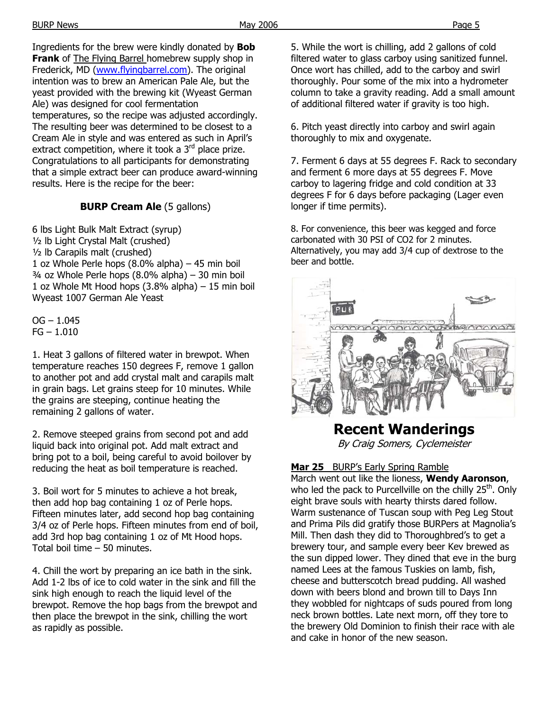Ingredients for the brew were kindly donated by **Bob Frank** of The Flying Barrel homebrew supply shop in Frederick, MD (www.flyingbarrel.com). The original intention was to brew an American Pale Ale, but the yeast provided with the brewing kit (Wyeast German Ale) was designed for cool fermentation temperatures, so the recipe was adjusted accordingly. The resulting beer was determined to be closest to a Cream Ale in style and was entered as such in April's extract competition, where it took a  $3<sup>rd</sup>$  place prize. Congratulations to all participants for demonstrating that a simple extract beer can produce award-winning

#### **BURP Cream Ale** (5 gallons)

results. Here is the recipe for the beer:

6 lbs Light Bulk Malt Extract (syrup) ½ lb Light Crystal Malt (crushed) ½ lb Carapils malt (crushed) 1 oz Whole Perle hops (8.0% alpha) – 45 min boil  $\frac{3}{4}$  oz Whole Perle hops (8.0% alpha) – 30 min boil 1 oz Whole Mt Hood hops (3.8% alpha) – 15 min boil Wyeast 1007 German Ale Yeast

 $OG - 1.045$  $FG - 1.010$ 

1. Heat 3 gallons of filtered water in brewpot. When temperature reaches 150 degrees F, remove 1 gallon to another pot and add crystal malt and carapils malt in grain bags. Let grains steep for 10 minutes. While the grains are steeping, continue heating the remaining 2 gallons of water.

2. Remove steeped grains from second pot and add liquid back into original pot. Add malt extract and bring pot to a boil, being careful to avoid boilover by reducing the heat as boil temperature is reached.

3. Boil wort for 5 minutes to achieve a hot break, then add hop bag containing 1 oz of Perle hops. Fifteen minutes later, add second hop bag containing 3/4 oz of Perle hops. Fifteen minutes from end of boil, add 3rd hop bag containing 1 oz of Mt Hood hops. Total boil time – 50 minutes.

4. Chill the wort by preparing an ice bath in the sink. Add 1-2 lbs of ice to cold water in the sink and fill the sink high enough to reach the liquid level of the brewpot. Remove the hop bags from the brewpot and then place the brewpot in the sink, chilling the wort as rapidly as possible.

5. While the wort is chilling, add 2 gallons of cold filtered water to glass carboy using sanitized funnel. Once wort has chilled, add to the carboy and swirl thoroughly. Pour some of the mix into a hydrometer column to take a gravity reading. Add a small amount of additional filtered water if gravity is too high.

6. Pitch yeast directly into carboy and swirl again thoroughly to mix and oxygenate.

7. Ferment 6 days at 55 degrees F. Rack to secondary and ferment 6 more days at 55 degrees F. Move carboy to lagering fridge and cold condition at 33 degrees F for 6 days before packaging (Lager even longer if time permits).

8. For convenience, this beer was kegged and force carbonated with 30 PSI of CO2 for 2 minutes. Alternatively, you may add 3/4 cup of dextrose to the beer and bottle.



# **Recent Wanderings**

By Craig Somers, Cyclemeister

#### **Mar 25** BURP's Early Spring Ramble

March went out like the lioness, **Wendy Aaronson**, who led the pack to Purcellville on the chilly 25<sup>th</sup>. Only eight brave souls with hearty thirsts dared follow. Warm sustenance of Tuscan soup with Peg Leg Stout and Prima Pils did gratify those BURPers at Magnolia's Mill. Then dash they did to Thoroughbred's to get a brewery tour, and sample every beer Kev brewed as the sun dipped lower. They dined that eve in the burg named Lees at the famous Tuskies on lamb, fish, cheese and butterscotch bread pudding. All washed down with beers blond and brown till to Days Inn they wobbled for nightcaps of suds poured from long neck brown bottles. Late next morn, off they tore to the brewery Old Dominion to finish their race with ale and cake in honor of the new season.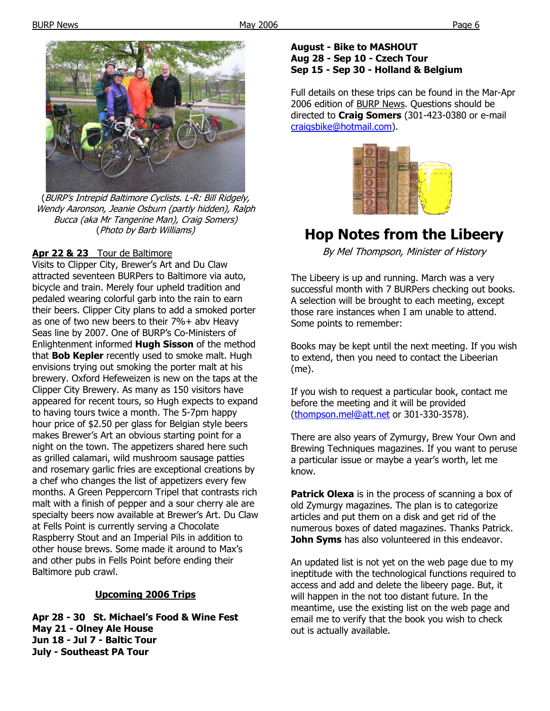

(BURP's Intrepid Baltimore Cyclists. L-R: Bill Ridgely, Wendy Aaronson, Jeanie Osburn (partly hidden), Ralph Bucca (aka Mr Tangerine Man), Craig Somers) (Photo by Barb Williams)

#### **Apr 22 & 23** Tour de Baltimore

Visits to Clipper City, Brewer's Art and Du Claw attracted seventeen BURPers to Baltimore via auto, bicycle and train. Merely four upheld tradition and pedaled wearing colorful garb into the rain to earn their beers. Clipper City plans to add a smoked porter as one of two new beers to their 7%+ abv Heavy Seas line by 2007. One of BURP's Co-Ministers of Enlightenment informed **Hugh Sisson** of the method that **Bob Kepler** recently used to smoke malt. Hugh envisions trying out smoking the porter malt at his brewery. Oxford Hefeweizen is new on the taps at the Clipper City Brewery. As many as 150 visitors have appeared for recent tours, so Hugh expects to expand to having tours twice a month. The 5-7pm happy hour price of \$2.50 per glass for Belgian style beers makes Brewer's Art an obvious starting point for a night on the town. The appetizers shared here such as grilled calamari, wild mushroom sausage patties and rosemary garlic fries are exceptional creations by a chef who changes the list of appetizers every few months. A Green Peppercorn Tripel that contrasts rich malt with a finish of pepper and a sour cherry ale are specialty beers now available at Brewer's Art. Du Claw at Fells Point is currently serving a Chocolate Raspberry Stout and an Imperial Pils in addition to other house brews. Some made it around to Max's and other pubs in Fells Point before ending their Baltimore pub crawl.

#### **Upcoming 2006 Trips**

**Apr 28 - 30 St. Michael's Food & Wine Fest May 21 - Olney Ale House Jun 18 - Jul 7 - Baltic Tour July - Southeast PA Tour** 

#### **August - Bike to MASHOUT Aug 28 - Sep 10 - Czech Tour Sep 15 - Sep 30 - Holland & Belgium**

Full details on these trips can be found in the Mar-Apr 2006 edition of BURP News. Questions should be directed to **Craig Somers** (301-423-0380 or e-mail craigsbike@hotmail.com).



# **Hop Notes from the Libeery**

By Mel Thompson, Minister of History

The Libeery is up and running. March was a very successful month with 7 BURPers checking out books. A selection will be brought to each meeting, except those rare instances when I am unable to attend. Some points to remember:

Books may be kept until the next meeting. If you wish to extend, then you need to contact the Libeerian (me).

If you wish to request a particular book, contact me before the meeting and it will be provided (thompson.mel@att.net or 301-330-3578).

There are also years of Zymurgy, Brew Your Own and Brewing Techniques magazines. If you want to peruse a particular issue or maybe a year's worth, let me know.

**Patrick Olexa** is in the process of scanning a box of old Zymurgy magazines. The plan is to categorize articles and put them on a disk and get rid of the numerous boxes of dated magazines. Thanks Patrick. **John Syms** has also volunteered in this endeavor.

An updated list is not yet on the web page due to my ineptitude with the technological functions required to access and add and delete the libeery page. But, it will happen in the not too distant future. In the meantime, use the existing list on the web page and email me to verify that the book you wish to check out is actually available.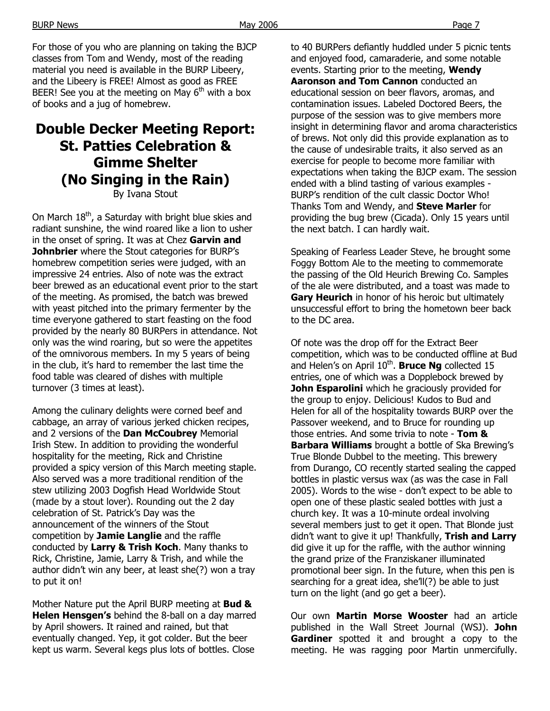For those of you who are planning on taking the BJCP classes from Tom and Wendy, most of the reading material you need is available in the BURP Libeery, and the Libeery is FREE! Almost as good as FREE BEER! See you at the meeting on May  $6<sup>th</sup>$  with a box of books and a jug of homebrew.

# **Double Decker Meeting Report: St. Patties Celebration & Gimme Shelter (No Singing in the Rain)**

By Ivana Stout

On March  $18<sup>th</sup>$ , a Saturday with bright blue skies and radiant sunshine, the wind roared like a lion to usher in the onset of spring. It was at Chez **Garvin and Johnbrier** where the Stout categories for BURP's homebrew competition series were judged, with an impressive 24 entries. Also of note was the extract beer brewed as an educational event prior to the start of the meeting. As promised, the batch was brewed with yeast pitched into the primary fermenter by the time everyone gathered to start feasting on the food provided by the nearly 80 BURPers in attendance. Not only was the wind roaring, but so were the appetites of the omnivorous members. In my 5 years of being in the club, it's hard to remember the last time the food table was cleared of dishes with multiple turnover (3 times at least).

Among the culinary delights were corned beef and cabbage, an array of various jerked chicken recipes, and 2 versions of the **Dan McCoubrey** Memorial Irish Stew. In addition to providing the wonderful hospitality for the meeting, Rick and Christine provided a spicy version of this March meeting staple. Also served was a more traditional rendition of the stew utilizing 2003 Dogfish Head Worldwide Stout (made by a stout lover). Rounding out the 2 day celebration of St. Patrick's Day was the announcement of the winners of the Stout competition by **Jamie Langlie** and the raffle conducted by **Larry & Trish Koch**. Many thanks to Rick, Christine, Jamie, Larry & Trish, and while the author didn't win any beer, at least she(?) won a tray to put it on!

Mother Nature put the April BURP meeting at **Bud & Helen Hensgen's** behind the 8-ball on a day marred by April showers. It rained and rained, but that eventually changed. Yep, it got colder. But the beer kept us warm. Several kegs plus lots of bottles. Close

to 40 BURPers defiantly huddled under 5 picnic tents and enjoyed food, camaraderie, and some notable events. Starting prior to the meeting, **Wendy Aaronson and Tom Cannon** conducted an educational session on beer flavors, aromas, and contamination issues. Labeled Doctored Beers, the purpose of the session was to give members more insight in determining flavor and aroma characteristics of brews. Not only did this provide explanation as to the cause of undesirable traits, it also served as an exercise for people to become more familiar with expectations when taking the BJCP exam. The session ended with a blind tasting of various examples - BURP's rendition of the cult classic Doctor Who! Thanks Tom and Wendy, and **Steve Marler** for providing the bug brew (Cicada). Only 15 years until the next batch. I can hardly wait.

Speaking of Fearless Leader Steve, he brought some Foggy Bottom Ale to the meeting to commemorate the passing of the Old Heurich Brewing Co. Samples of the ale were distributed, and a toast was made to **Gary Heurich** in honor of his heroic but ultimately unsuccessful effort to bring the hometown beer back to the DC area.

Of note was the drop off for the Extract Beer competition, which was to be conducted offline at Bud and Helen's on April 10<sup>th</sup>. **Bruce Ng** collected 15 entries, one of which was a Dopplebock brewed by **John Esparolini** which he graciously provided for the group to enjoy. Delicious! Kudos to Bud and Helen for all of the hospitality towards BURP over the Passover weekend, and to Bruce for rounding up those entries. And some trivia to note - **Tom & Barbara Williams** brought a bottle of Ska Brewing's True Blonde Dubbel to the meeting. This brewery from Durango, CO recently started sealing the capped bottles in plastic versus wax (as was the case in Fall 2005). Words to the wise - don't expect to be able to open one of these plastic sealed bottles with just a church key. It was a 10-minute ordeal involving several members just to get it open. That Blonde just didn't want to give it up! Thankfully, **Trish and Larry** did give it up for the raffle, with the author winning the grand prize of the Franziskaner illuminated promotional beer sign. In the future, when this pen is searching for a great idea, she'll(?) be able to just turn on the light (and go get a beer).

Our own **Martin Morse Wooster** had an article published in the Wall Street Journal (WSJ). **John Gardiner** spotted it and brought a copy to the meeting. He was ragging poor Martin unmercifully.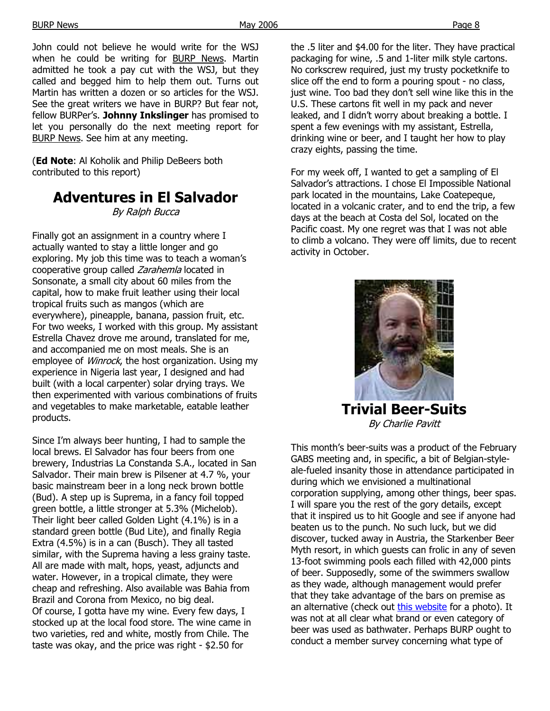John could not believe he would write for the WSJ when he could be writing for BURP News. Martin admitted he took a pay cut with the WSJ, but they called and begged him to help them out. Turns out Martin has written a dozen or so articles for the WSJ. See the great writers we have in BURP? But fear not, fellow BURPer's. **Johnny Inkslinger** has promised to let you personally do the next meeting report for BURP News. See him at any meeting.

(**Ed Note**: Al Koholik and Philip DeBeers both contributed to this report)

# **Adventures in El Salvador**

By Ralph Bucca

Finally got an assignment in a country where I actually wanted to stay a little longer and go exploring. My job this time was to teach a woman's cooperative group called Zarahemla located in Sonsonate, a small city about 60 miles from the capital, how to make fruit leather using their local tropical fruits such as mangos (which are everywhere), pineapple, banana, passion fruit, etc. For two weeks, I worked with this group. My assistant Estrella Chavez drove me around, translated for me, and accompanied me on most meals. She is an employee of *Winrock*, the host organization. Using my experience in Nigeria last year, I designed and had built (with a local carpenter) solar drying trays. We then experimented with various combinations of fruits and vegetables to make marketable, eatable leather products.

Since I'm always beer hunting, I had to sample the local brews. El Salvador has four beers from one brewery, Industrias La Constanda S.A., located in San Salvador. Their main brew is Pilsener at 4.7 %, your basic mainstream beer in a long neck brown bottle (Bud). A step up is Suprema, in a fancy foil topped green bottle, a little stronger at 5.3% (Michelob). Their light beer called Golden Light (4.1%) is in a standard green bottle (Bud Lite), and finally Regia Extra (4.5%) is in a can (Busch). They all tasted similar, with the Suprema having a less grainy taste. All are made with malt, hops, yeast, adjuncts and water. However, in a tropical climate, they were cheap and refreshing. Also available was Bahia from Brazil and Corona from Mexico, no big deal. Of course, I gotta have my wine. Every few days, I stocked up at the local food store. The wine came in two varieties, red and white, mostly from Chile. The taste was okay, and the price was right - \$2.50 for

the .5 liter and \$4.00 for the liter. They have practical packaging for wine, .5 and 1-liter milk style cartons. No corkscrew required, just my trusty pocketknife to slice off the end to form a pouring spout - no class, just wine. Too bad they don't sell wine like this in the U.S. These cartons fit well in my pack and never leaked, and I didn't worry about breaking a bottle. I spent a few evenings with my assistant, Estrella, drinking wine or beer, and I taught her how to play crazy eights, passing the time.

For my week off, I wanted to get a sampling of El Salvador's attractions. I chose El Impossible National park located in the mountains, Lake Coatepeque, located in a volcanic crater, and to end the trip, a few days at the beach at Costa del Sol, located on the Pacific coast. My one regret was that I was not able to climb a volcano. They were off limits, due to recent activity in October.



**Trivial Beer-Suits**  By Charlie Pavitt

This month's beer-suits was a product of the February GABS meeting and, in specific, a bit of Belgian-styleale-fueled insanity those in attendance participated in during which we envisioned a multinational corporation supplying, among other things, beer spas. I will spare you the rest of the gory details, except that it inspired us to hit Google and see if anyone had beaten us to the punch. No such luck, but we did discover, tucked away in Austria, the Starkenber Beer Myth resort, in which guests can frolic in any of seven 13-foot swimming pools each filled with 42,000 pints of beer. Supposedly, some of the swimmers swallow as they wade, although management would prefer that they take advantage of the bars on premise as an alternative (check out this website for a photo). It was not at all clear what brand or even category of beer was used as bathwater. Perhaps BURP ought to conduct a member survey concerning what type of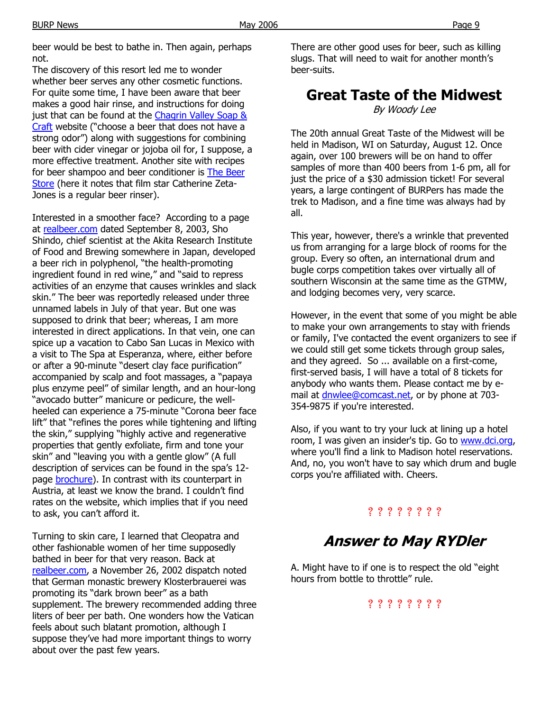BURP News Page 9

beer would be best to bathe in. Then again, perhaps not.

The discovery of this resort led me to wonder whether beer serves any other cosmetic functions. For quite some time, I have been aware that beer makes a good hair rinse, and instructions for doing just that can be found at the Chagrin Valley Soap & Craft website ("choose a beer that does not have a strong odor") along with suggestions for combining beer with cider vinegar or jojoba oil for, I suppose, a more effective treatment. Another site with recipes for beer shampoo and beer conditioner is The Beer Store (here it notes that film star Catherine Zeta-Jones is a regular beer rinser).

Interested in a smoother face? According to a page at realbeer.com dated September 8, 2003, Sho Shindo, chief scientist at the Akita Research Institute of Food and Brewing somewhere in Japan, developed a beer rich in polyphenol, "the health-promoting ingredient found in red wine," and "said to repress activities of an enzyme that causes wrinkles and slack skin." The beer was reportedly released under three unnamed labels in July of that year. But one was supposed to drink that beer; whereas, I am more interested in direct applications. In that vein, one can spice up a vacation to Cabo San Lucas in Mexico with a visit to The Spa at Esperanza, where, either before or after a 90-minute "desert clay face purification" accompanied by scalp and foot massages, a "papaya plus enzyme peel" of similar length, and an hour-long "avocado butter" manicure or pedicure, the wellheeled can experience a 75-minute "Corona beer face lift" that "refines the pores while tightening and lifting the skin," supplying "highly active and regenerative properties that gently exfoliate, firm and tone your skin" and "leaving you with a gentle glow" (A full description of services can be found in the spa's 12 page brochure). In contrast with its counterpart in Austria, at least we know the brand. I couldn't find rates on the website, which implies that if you need to ask, you can't afford it.

Turning to skin care, I learned that Cleopatra and other fashionable women of her time supposedly bathed in beer for that very reason. Back at realbeer.com, a November 26, 2002 dispatch noted that German monastic brewery Klosterbrauerei was promoting its "dark brown beer" as a bath supplement. The brewery recommended adding three liters of beer per bath. One wonders how the Vatican feels about such blatant promotion, although I suppose they've had more important things to worry about over the past few years.

There are other good uses for beer, such as killing slugs. That will need to wait for another month's beer-suits.

# **Great Taste of the Midwest**

By Woody Lee

The 20th annual Great Taste of the Midwest will be held in Madison, WI on Saturday, August 12. Once again, over 100 brewers will be on hand to offer samples of more than 400 beers from 1-6 pm, all for just the price of a \$30 admission ticket! For several years, a large contingent of BURPers has made the trek to Madison, and a fine time was always had by all.

This year, however, there's a wrinkle that prevented us from arranging for a large block of rooms for the group. Every so often, an international drum and bugle corps competition takes over virtually all of southern Wisconsin at the same time as the GTMW, and lodging becomes very, very scarce.

However, in the event that some of you might be able to make your own arrangements to stay with friends or family, I've contacted the event organizers to see if we could still get some tickets through group sales, and they agreed. So ... available on a first-come, first-served basis, I will have a total of 8 tickets for anybody who wants them. Please contact me by email at *dnwlee@comcast.net*, or by phone at 703-354-9875 if you're interested.

Also, if you want to try your luck at lining up a hotel room, I was given an insider's tip. Go to www.dci.org, where you'll find a link to Madison hotel reservations. And, no, you won't have to say which drum and bugle corps you're affiliated with. Cheers.

### ? ? ? ? ? ? ? ?

# **Answer to May RYDler**

A. Might have to if one is to respect the old "eight hours from bottle to throttle" rule.

### ? ? ? ? ? ? ? ?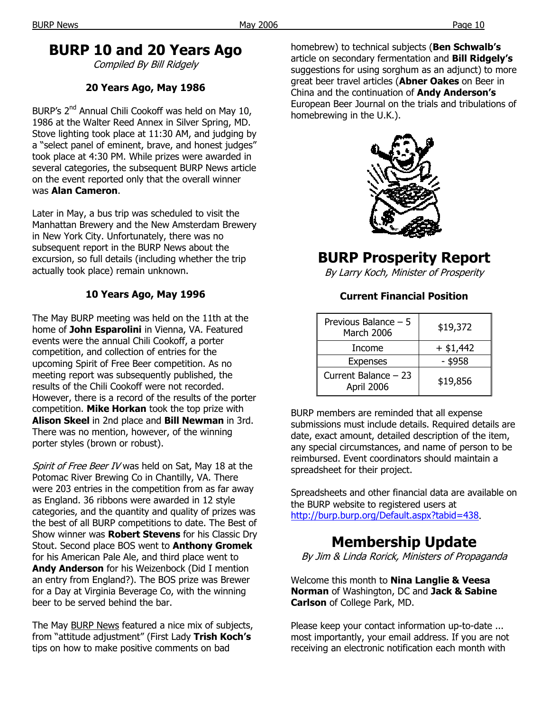## **BURP 10 and 20 Years Ago**

Compiled By Bill Ridgely

#### **20 Years Ago, May 1986**

BURP's 2<sup>nd</sup> Annual Chili Cookoff was held on May 10, 1986 at the Walter Reed Annex in Silver Spring, MD. Stove lighting took place at 11:30 AM, and judging by a "select panel of eminent, brave, and honest judges" took place at 4:30 PM. While prizes were awarded in several categories, the subsequent BURP News article on the event reported only that the overall winner was **Alan Cameron**.

Later in May, a bus trip was scheduled to visit the Manhattan Brewery and the New Amsterdam Brewery in New York City. Unfortunately, there was no subsequent report in the BURP News about the excursion, so full details (including whether the trip actually took place) remain unknown.

### **10 Years Ago, May 1996**

The May BURP meeting was held on the 11th at the home of **John Esparolini** in Vienna, VA. Featured events were the annual Chili Cookoff, a porter competition, and collection of entries for the upcoming Spirit of Free Beer competition. As no meeting report was subsequently published, the results of the Chili Cookoff were not recorded. However, there is a record of the results of the porter competition. **Mike Horkan** took the top prize with **Alison Skeel** in 2nd place and **Bill Newman** in 3rd. There was no mention, however, of the winning porter styles (brown or robust).

Spirit of Free Beer IV was held on Sat, May 18 at the Potomac River Brewing Co in Chantilly, VA. There were 203 entries in the competition from as far away as England. 36 ribbons were awarded in 12 style categories, and the quantity and quality of prizes was the best of all BURP competitions to date. The Best of Show winner was **Robert Stevens** for his Classic Dry Stout. Second place BOS went to **Anthony Gromek**  for his American Pale Ale, and third place went to **Andy Anderson** for his Weizenbock (Did I mention an entry from England?). The BOS prize was Brewer for a Day at Virginia Beverage Co, with the winning beer to be served behind the bar.

The May BURP News featured a nice mix of subjects, from "attitude adjustment" (First Lady **Trish Koch's** tips on how to make positive comments on bad

homebrew) to technical subjects (**Ben Schwalb's**  article on secondary fermentation and **Bill Ridgely's**  suggestions for using sorghum as an adjunct) to more great beer travel articles (**Abner Oakes** on Beer in China and the continuation of **Andy Anderson's** European Beer Journal on the trials and tribulations of homebrewing in the U.K.).



# **BURP Prosperity Report**

By Larry Koch, Minister of Prosperity

#### **Current Financial Position**

| Previous Balance - 5<br><b>March 2006</b> | \$19,372    |
|-------------------------------------------|-------------|
| Income                                    | $+$ \$1,442 |
| <b>Expenses</b>                           | - \$958     |
| Current Balance - 23<br>April 2006        | \$19,856    |

BURP members are reminded that all expense submissions must include details. Required details are date, exact amount, detailed description of the item, any special circumstances, and name of person to be reimbursed. Event coordinators should maintain a spreadsheet for their project.

Spreadsheets and other financial data are available on the BURP website to registered users at http://burp.burp.org/Default.aspx?tabid=438.

# **Membership Update**

By Jim & Linda Rorick, Ministers of Propaganda

Welcome this month to **Nina Langlie & Veesa Norman** of Washington, DC and **Jack & Sabine Carlson** of College Park, MD.

Please keep your contact information up-to-date ... most importantly, your email address. If you are not receiving an electronic notification each month with